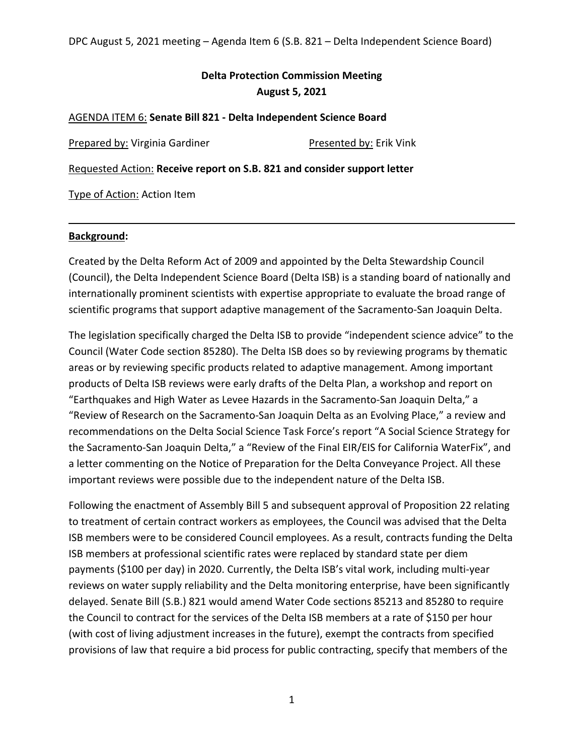# **Delta Protection Commission Meeting August 5, 2021**

### AGENDA ITEM 6: **Senate Bill 821 - Delta Independent Science Board**

Prepared by: Virginia Gardiner Presented by: Erik Vink

Requested Action: **Receive report on S.B. 821 and consider support letter**

Type of Action: Action Item

#### **Background:**

Created by the Delta Reform Act of 2009 and appointed by the Delta Stewardship Council (Council), the Delta Independent Science Board (Delta ISB) is a standing board of nationally and internationally prominent scientists with expertise appropriate to evaluate the broad range of scientific programs that support adaptive management of the Sacramento-San Joaquin Delta.

The legislation specifically charged the Delta ISB to provide "independent science advice" to the Council (Water Code section 85280). The Delta ISB does so by reviewing programs by thematic areas or by reviewing specific products related to adaptive management. Among important products of Delta ISB reviews were early drafts of the Delta Plan, a workshop and report on "Earthquakes and High Water as Levee Hazards in the Sacramento-San Joaquin Delta," a "Review of Research on the Sacramento-San Joaquin Delta as an Evolving Place," a review and recommendations on the Delta Social Science Task Force's report "A Social Science Strategy for the Sacramento-San Joaquin Delta," a "Review of the Final EIR/EIS for California WaterFix", and a letter commenting on the Notice of Preparation for the Delta Conveyance Project. All these important reviews were possible due to the independent nature of the Delta ISB.

Following the enactment of Assembly Bill 5 and subsequent approval of Proposition 22 relating to treatment of certain contract workers as employees, the Council was advised that the Delta ISB members were to be considered Council employees. As a result, contracts funding the Delta ISB members at professional scientific rates were replaced by standard state per diem payments (\$100 per day) in 2020. Currently, the Delta ISB's vital work, including multi-year reviews on water supply reliability and the Delta monitoring enterprise, have been significantly delayed. Senate Bill (S.B.) 821 would amend Water Code sections 85213 and 85280 to require the Council to contract for the services of the Delta ISB members at a rate of \$150 per hour (with cost of living adjustment increases in the future), exempt the contracts from specified provisions of law that require a bid process for public contracting, specify that members of the